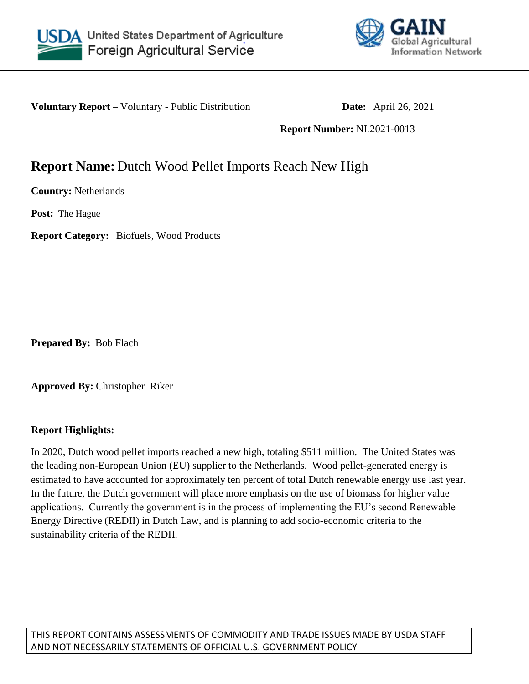



**Voluntary Report –** Voluntary - Public Distribution **Date:** April 26, 2021

**Report Number:** NL2021-0013

# **Report Name:** Dutch Wood Pellet Imports Reach New High

**Country:** Netherlands

**Post:** The Hague

**Report Category:** Biofuels, Wood Products

**Prepared By:** Bob Flach

**Approved By:** Christopher Riker

## **Report Highlights:**

In 2020, Dutch wood pellet imports reached a new high, totaling \$511 million. The United States was the leading non-European Union (EU) supplier to the Netherlands. Wood pellet-generated energy is estimated to have accounted for approximately ten percent of total Dutch renewable energy use last year. In the future, the Dutch government will place more emphasis on the use of biomass for higher value applications. Currently the government is in the process of implementing the EU's second Renewable Energy Directive (REDII) in Dutch Law, and is planning to add socio-economic criteria to the sustainability criteria of the REDII.

THIS REPORT CONTAINS ASSESSMENTS OF COMMODITY AND TRADE ISSUES MADE BY USDA STAFF AND NOT NECESSARILY STATEMENTS OF OFFICIAL U.S. GOVERNMENT POLICY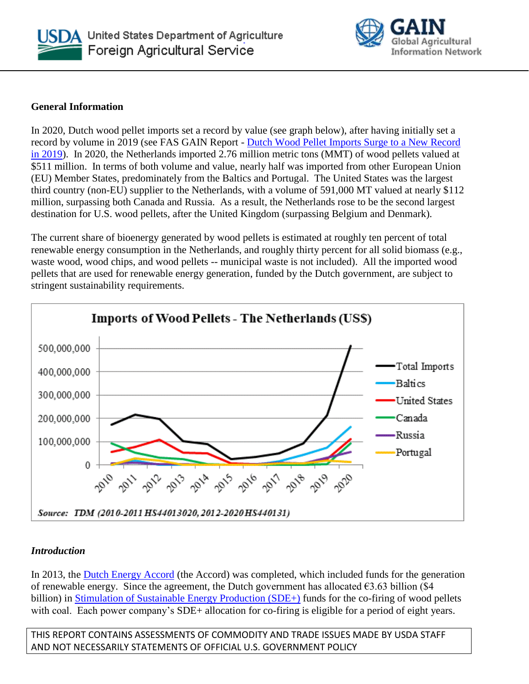



#### **General Information**

In 2020, Dutch wood pellet imports set a record by value (see graph below), after having initially set a record by volume in 2019 (see FAS GAIN Report - [Dutch Wood Pellet Imports Surge to a New Record](https://www.fas.usda.gov/data/netherlands-dutch-wood-pellet-imports-surge-new-record-2019)  [in 2019\)](https://www.fas.usda.gov/data/netherlands-dutch-wood-pellet-imports-surge-new-record-2019). In 2020, the Netherlands imported 2.76 million metric tons (MMT) of wood pellets valued at \$511 million. In terms of both volume and value, nearly half was imported from other European Union (EU) Member States, predominately from the Baltics and Portugal. The United States was the largest third country (non-EU) supplier to the Netherlands, with a volume of 591,000 MT valued at nearly \$112 million, surpassing both Canada and Russia. As a result, the Netherlands rose to be the second largest destination for U.S. wood pellets, after the United Kingdom (surpassing Belgium and Denmark).

The current share of bioenergy generated by wood pellets is estimated at roughly ten percent of total renewable energy consumption in the Netherlands, and roughly thirty percent for all solid biomass (e.g., waste wood, wood chips, and wood pellets -- municipal waste is not included). All the imported wood pellets that are used for renewable energy generation, funded by the Dutch government, are subject to stringent sustainability requirements.



## *Introduction*

In 2013, the [Dutch Energy Accord](https://www.government.nl/documents/publications/2013/09/06/energy-agreement-for-sustainable-growth) (the Accord) was completed, which included funds for the generation of renewable energy. Since the agreement, the Dutch government has allocated  $\epsilon$ 3.63 billion (\$4 billion) in [Stimulation of Sustainable Energy Production \(SDE+\)](https://english.rvo.nl/subsidies-programmes/sde) funds for the co-firing of wood pellets with coal. Each power company's SDE+ allocation for co-firing is eligible for a period of eight years.

THIS REPORT CONTAINS ASSESSMENTS OF COMMODITY AND TRADE ISSUES MADE BY USDA STAFF AND NOT NECESSARILY STATEMENTS OF OFFICIAL U.S. GOVERNMENT POLICY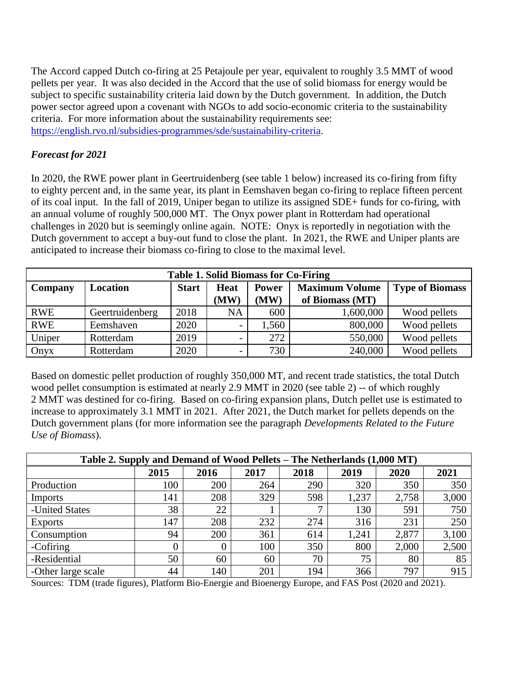The Accord capped Dutch co-firing at 25 Petajoule per year, equivalent to roughly 3.5 MMT of wood pellets per year. It was also decided in the Accord that the use of solid biomass for energy would be subject to specific sustainability criteria laid down by the Dutch government. In addition, the Dutch power sector agreed upon a covenant with NGOs to add socio-economic criteria to the sustainability criteria. For more information about the sustainability requirements see: [https://english.rvo.nl/subsidies-programmes/sde/sustainability-criteria.](https://english.rvo.nl/subsidies-programmes/sde/sustainability-criteria)

## *Forecast for 2021*

In 2020, the RWE power plant in Geertruidenberg (see table 1 below) increased its co-firing from fifty to eighty percent and, in the same year, its plant in Eemshaven began co-firing to replace fifteen percent of its coal input. In the fall of 2019, Uniper began to utilize its assigned SDE+ funds for co-firing, with an annual volume of roughly 500,000 MT. The Onyx power plant in Rotterdam had operational challenges in 2020 but is seemingly online again. NOTE: Onyx is reportedly in negotiation with the Dutch government to accept a buy-out fund to close the plant. In 2021, the RWE and Uniper plants are anticipated to increase their biomass co-firing to close to the maximal level.

| <b>Table 1. Solid Biomass for Co-Firing</b> |                 |              |              |                      |                                          |                        |  |  |  |  |  |  |
|---------------------------------------------|-----------------|--------------|--------------|----------------------|------------------------------------------|------------------------|--|--|--|--|--|--|
| Company                                     | Location        | <b>Start</b> | Heat<br>(MW) | <b>Power</b><br>(MW) | <b>Maximum Volume</b><br>of Biomass (MT) | <b>Type of Biomass</b> |  |  |  |  |  |  |
| <b>RWE</b>                                  | Geertruidenberg | 2018         | <b>NA</b>    | 600                  | 1,600,000                                | Wood pellets           |  |  |  |  |  |  |
| <b>RWE</b>                                  | Eemshaven       | 2020         |              | 1,560                | 800,000                                  | Wood pellets           |  |  |  |  |  |  |
| Uniper                                      | Rotterdam       | 2019         |              | 272                  | 550,000                                  | Wood pellets           |  |  |  |  |  |  |
| Onyx                                        | Rotterdam       | 2020         |              | 730                  | 240,000                                  | Wood pellets           |  |  |  |  |  |  |

Based on domestic pellet production of roughly 350,000 MT, and recent trade statistics, the total Dutch wood pellet consumption is estimated at nearly 2.9 MMT in 2020 (see table 2) -- of which roughly 2 MMT was destined for co-firing. Based on co-firing expansion plans, Dutch pellet use is estimated to increase to approximately 3.1 MMT in 2021. After 2021, the Dutch market for pellets depends on the Dutch government plans (for more information see the paragraph *Developments Related to the Future Use of Biomass*).

| Table 2. Supply and Demand of Wood Pellets – The Netherlands (1,000 MT) |      |      |      |      |       |       |       |  |  |  |
|-------------------------------------------------------------------------|------|------|------|------|-------|-------|-------|--|--|--|
|                                                                         | 2015 | 2016 | 2017 | 2018 | 2019  | 2020  | 2021  |  |  |  |
| Production                                                              | 100  | 200  | 264  | 290  | 320   | 350   | 350   |  |  |  |
| <b>Imports</b>                                                          | 141  | 208  | 329  | 598  | 1,237 | 2,758 | 3,000 |  |  |  |
| -United States                                                          | 38   | 22   |      | −    | 130   | 591   | 750   |  |  |  |
| <b>Exports</b>                                                          | 147  | 208  | 232  | 274  | 316   | 231   | 250   |  |  |  |
| Consumption                                                             | 94   | 200  | 361  | 614  | 1,241 | 2,877 | 3,100 |  |  |  |
| -Cofiring                                                               |      | 0    | 100  | 350  | 800   | 2,000 | 2,500 |  |  |  |
| -Residential                                                            | 50   | 60   | 60   | 70   | 75    | 80    | 85    |  |  |  |
| -Other large scale                                                      | 44   | 140  | 201  | 194  | 366   | 797   | 915   |  |  |  |

Sources: TDM (trade figures), Platform Bio-Energie and Bioenergy Europe, and FAS Post (2020 and 2021).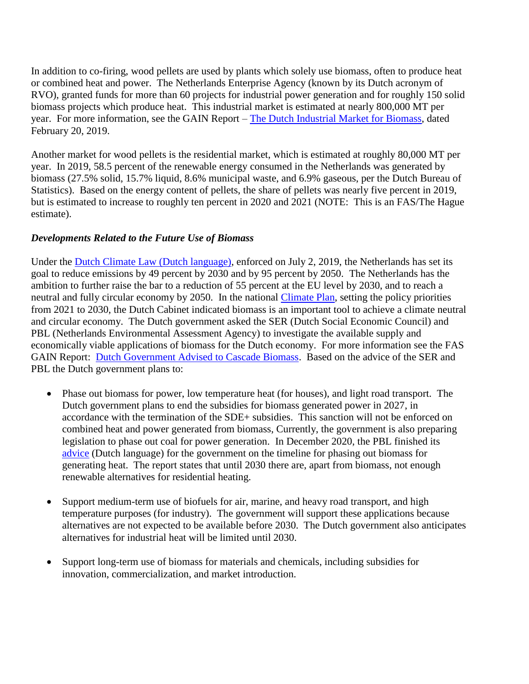In addition to co-firing, wood pellets are used by plants which solely use biomass, often to produce heat or combined heat and power. The Netherlands Enterprise Agency (known by its Dutch acronym of RVO), granted funds for more than 60 projects for industrial power generation and for roughly 150 solid biomass projects which produce heat. This industrial market is estimated at nearly 800,000 MT per year. For more information, see the GAIN Report – [The Dutch Industrial Market for Biomass,](https://www.fas.usda.gov/data/netherlands-dutch-industrial-market-biomass) dated February 20, 2019.

Another market for wood pellets is the residential market, which is estimated at roughly 80,000 MT per year. In 2019, 58.5 percent of the renewable energy consumed in the Netherlands was generated by biomass (27.5% solid, 15.7% liquid, 8.6% municipal waste, and 6.9% gaseous, per the Dutch Bureau of Statistics). Based on the energy content of pellets, the share of pellets was nearly five percent in 2019, but is estimated to increase to roughly ten percent in 2020 and 2021 (NOTE: This is an FAS/The Hague estimate).

## *Developments Related to the Future Use of Biomass*

Under the [Dutch Climate Law](https://www.rijksoverheid.nl/onderwerpen/klimaatverandering/klimaatbeleid) (Dutch language), enforced on July 2, 2019, the Netherlands has set its goal to reduce emissions by 49 percent by 2030 and by 95 percent by 2050. The Netherlands has the ambition to further raise the bar to a reduction of 55 percent at the EU level by 2030, and to reach a neutral and fully circular economy by 2050. In the national [Climate Plan,](file:///C:/Users/BobFlach/Downloads/Klimaatplan+2021-2030.pdf) setting the policy priorities from 2021 to 2030, the Dutch Cabinet indicated biomass is an important tool to achieve a climate neutral and circular economy. The Dutch government asked the SER (Dutch Social Economic Council) and PBL (Netherlands Environmental Assessment Agency) to investigate the available supply and economically viable applications of biomass for the Dutch economy. For more information see the FAS GAIN Report: [Dutch Government Advised to Cascade Biomass.](https://www.fas.usda.gov/data/netherlands-dutch-government-advised-cascade-biomass) Based on the advice of the SER and PBL the Dutch government plans to:

- Phase out biomass for power, low temperature heat (for houses), and light road transport. The Dutch government plans to end the subsidies for biomass generated power in 2027, in accordance with the termination of the SDE+ subsidies. This sanction will not be enforced on combined heat and power generated from biomass, Currently, the government is also preparing legislation to phase out coal for power generation. In December 2020, the PBL finished its [advice](https://www.rijksoverheid.nl/documenten/rapporten/2020/12/18/bijlage-advies-uitfasering-houtige-biogrondstoffen-voor-warmtetoepassingen) (Dutch language) for the government on the timeline for phasing out biomass for generating heat. The report states that until 2030 there are, apart from biomass, not enough renewable alternatives for residential heating.
- Support medium-term use of biofuels for air, marine, and heavy road transport, and high temperature purposes (for industry). The government will support these applications because alternatives are not expected to be available before 2030. The Dutch government also anticipates alternatives for industrial heat will be limited until 2030.
- Support long-term use of biomass for materials and chemicals, including subsidies for innovation, commercialization, and market introduction.